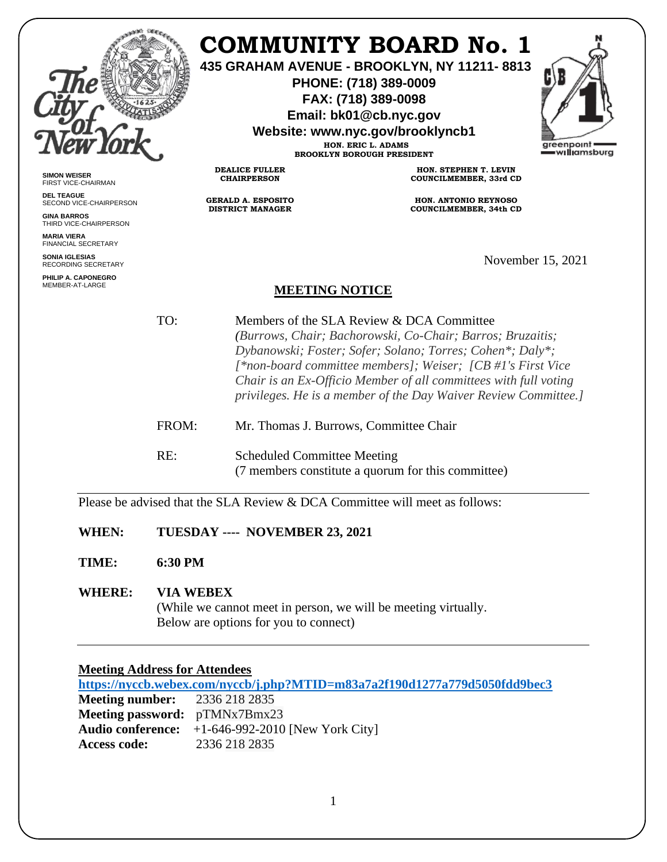|                                                                 |       | COMMUNITY BOARD No. 1<br>435 GRAHAM AVENUE - BROOKLYN, NY 11211-8813<br>PHONE: (718) 389-0009<br>FAX: (718) 389-0098<br>Email: bk01@cb.nyc.gov<br>Website: www.nyc.gov/brooklyncb1<br>HON. ERIC L. ADAMS<br>greenpoint<br>=w <b>ıllı</b> amsburg<br><b>BROOKLYN BOROUGH PRESIDENT</b>                                                                                     |                                                    |                   |
|-----------------------------------------------------------------|-------|---------------------------------------------------------------------------------------------------------------------------------------------------------------------------------------------------------------------------------------------------------------------------------------------------------------------------------------------------------------------------|----------------------------------------------------|-------------------|
| <b>SIMON WEISER</b><br>FIRST VICE-CHAIRMAN                      |       | <b>DEALICE FULLER</b><br><b>CHAIRPERSON</b>                                                                                                                                                                                                                                                                                                                               | HON. STEPHEN T. LEVIN<br>COUNCILMEMBER, 33rd CD    |                   |
| <b>DEL TEAGUE</b><br>SECOND VICE-CHAIRPERSON                    |       | <b>GERALD A. ESPOSITO</b><br><b>DISTRICT MANAGER</b>                                                                                                                                                                                                                                                                                                                      | <b>HON. ANTONIO REYNOSO</b>                        |                   |
| <b>GINA BARROS</b><br>THIRD VICE-CHAIRPERSON                    |       |                                                                                                                                                                                                                                                                                                                                                                           | COUNCILMEMBER, 34th CD                             |                   |
| <b>MARIA VIERA</b><br><b>FINANCIAL SECRETARY</b>                |       |                                                                                                                                                                                                                                                                                                                                                                           |                                                    |                   |
| <b>SONIA IGLESIAS</b><br><b>RECORDING SECRETARY</b>             |       |                                                                                                                                                                                                                                                                                                                                                                           |                                                    | November 15, 2021 |
| PHILIP A. CAPONEGRO<br>MEMBER-AT-LARGE<br><b>MEETING NOTICE</b> |       |                                                                                                                                                                                                                                                                                                                                                                           |                                                    |                   |
|                                                                 | TO:   | Members of the SLA Review & DCA Committee<br>(Burrows, Chair; Bachorowski, Co-Chair; Barros; Bruzaitis;<br>Dybanowski; Foster; Sofer; Solano; Torres; Cohen*; Daly*;<br>[*non-board committee members]; Weiser; [CB #1's First Vice<br>Chair is an Ex-Officio Member of all committees with full voting<br>privileges. He is a member of the Day Waiver Review Committee. |                                                    |                   |
|                                                                 | FROM: | Mr. Thomas J. Burrows, Committee Chair                                                                                                                                                                                                                                                                                                                                    |                                                    |                   |
|                                                                 | RE:   | <b>Scheduled Committee Meeting</b>                                                                                                                                                                                                                                                                                                                                        | (7 members constitute a quorum for this committee) |                   |

Please be advised that the SLA Review & DCA Committee will meet as follows:

**WHEN: TUESDAY ---- NOVEMBER 23, 2021**

**TIME: 6:30 PM**

# **WHERE: VIA WEBEX**

(While we cannot meet in person, we will be meeting virtually. Below are options for you to connect)

# **Meeting Address for Attendees**

**<https://nyccb.webex.com/nyccb/j.php?MTID=m83a7a2f190d1277a779d5050fdd9bec3> Meeting number:** 2336 218 2835 **Meeting password:** pTMNx7Bmx23 **Audio conference:** +1-646-992-2010 [New York City] **Access code:** 2336 218 2835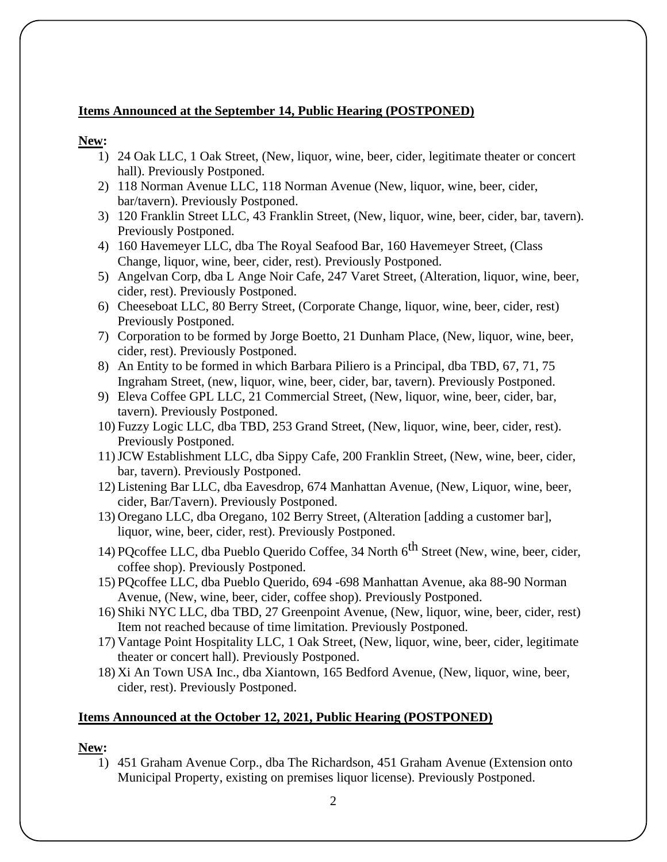### **Items Announced at the September 14, Public Hearing (POSTPONED)**

#### **New:**

- 1) 24 Oak LLC, 1 Oak Street, (New, liquor, wine, beer, cider, legitimate theater or concert hall). Previously Postponed.
- 2) 118 Norman Avenue LLC, 118 Norman Avenue (New, liquor, wine, beer, cider, bar/tavern). Previously Postponed.
- 3) 120 Franklin Street LLC, 43 Franklin Street, (New, liquor, wine, beer, cider, bar, tavern). Previously Postponed.
- 4) 160 Havemeyer LLC, dba The Royal Seafood Bar, 160 Havemeyer Street, (Class Change, liquor, wine, beer, cider, rest). Previously Postponed.
- 5) Angelvan Corp, dba L Ange Noir Cafe, 247 Varet Street, (Alteration, liquor, wine, beer, cider, rest). Previously Postponed.
- 6) Cheeseboat LLC, 80 Berry Street, (Corporate Change, liquor, wine, beer, cider, rest) Previously Postponed.
- 7) Corporation to be formed by Jorge Boetto, 21 Dunham Place, (New, liquor, wine, beer, cider, rest). Previously Postponed.
- 8) An Entity to be formed in which Barbara Piliero is a Principal, dba TBD, 67, 71, 75 Ingraham Street, (new, liquor, wine, beer, cider, bar, tavern). Previously Postponed.
- 9) Eleva Coffee GPL LLC, 21 Commercial Street, (New, liquor, wine, beer, cider, bar, tavern). Previously Postponed.
- 10) Fuzzy Logic LLC, dba TBD, 253 Grand Street, (New, liquor, wine, beer, cider, rest). Previously Postponed.
- 11)JCW Establishment LLC, dba Sippy Cafe, 200 Franklin Street, (New, wine, beer, cider, bar, tavern). Previously Postponed.
- 12) Listening Bar LLC, dba Eavesdrop, 674 Manhattan Avenue, (New, Liquor, wine, beer, cider, Bar/Tavern). Previously Postponed.
- 13) Oregano LLC, dba Oregano, 102 Berry Street, (Alteration [adding a customer bar], liquor, wine, beer, cider, rest). Previously Postponed.
- 14) POcoffee LLC, dba Pueblo Querido Coffee, 34 North  $6<sup>th</sup>$  Street (New, wine, beer, cider, coffee shop). Previously Postponed.
- 15) PQcoffee LLC, dba Pueblo Querido, 694 -698 Manhattan Avenue, aka 88-90 Norman Avenue, (New, wine, beer, cider, coffee shop). Previously Postponed.
- 16) Shiki NYC LLC, dba TBD, 27 Greenpoint Avenue, (New, liquor, wine, beer, cider, rest) Item not reached because of time limitation. Previously Postponed.
- 17) Vantage Point Hospitality LLC, 1 Oak Street, (New, liquor, wine, beer, cider, legitimate theater or concert hall). Previously Postponed.
- 18) Xi An Town USA Inc., dba Xiantown, 165 Bedford Avenue, (New, liquor, wine, beer, cider, rest). Previously Postponed.

#### **Items Announced at the October 12, 2021, Public Hearing (POSTPONED)**

#### **New:**

1) 451 Graham Avenue Corp., dba The Richardson, 451 Graham Avenue (Extension onto Municipal Property, existing on premises liquor license). Previously Postponed.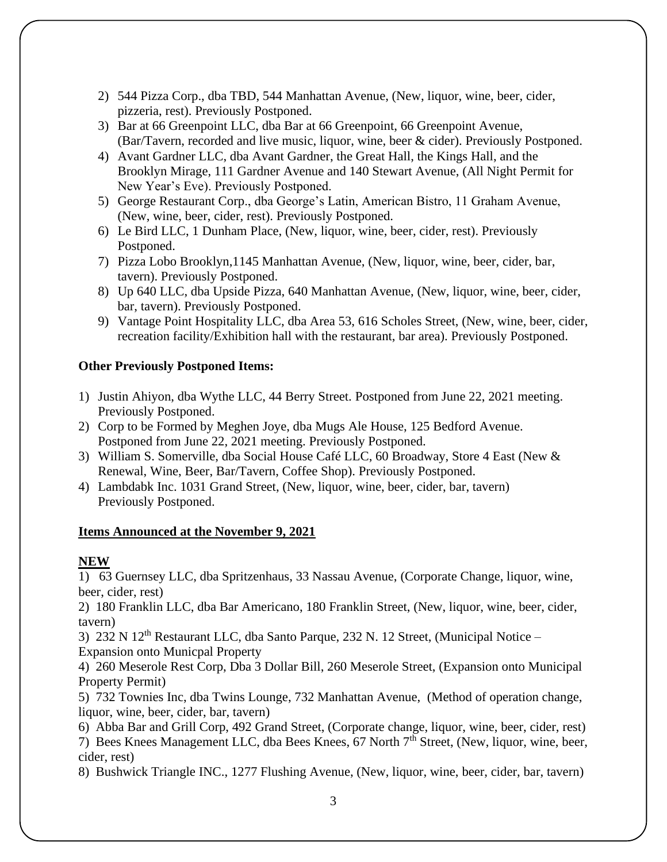- 2) 544 Pizza Corp., dba TBD, 544 Manhattan Avenue, (New, liquor, wine, beer, cider, pizzeria, rest). Previously Postponed.
- 3) Bar at 66 Greenpoint LLC, dba Bar at 66 Greenpoint, 66 Greenpoint Avenue, (Bar/Tavern, recorded and live music, liquor, wine, beer & cider). Previously Postponed.
- 4) Avant Gardner LLC, dba Avant Gardner, the Great Hall, the Kings Hall, and the Brooklyn Mirage, 111 Gardner Avenue and 140 Stewart Avenue, (All Night Permit for New Year's Eve). Previously Postponed.
- 5) George Restaurant Corp., dba George's Latin, American Bistro, 11 Graham Avenue, (New, wine, beer, cider, rest). Previously Postponed.
- 6) Le Bird LLC, 1 Dunham Place, (New, liquor, wine, beer, cider, rest). Previously Postponed.
- 7) Pizza Lobo Brooklyn,1145 Manhattan Avenue, (New, liquor, wine, beer, cider, bar, tavern). Previously Postponed.
- 8) Up 640 LLC, dba Upside Pizza, 640 Manhattan Avenue, (New, liquor, wine, beer, cider, bar, tavern). Previously Postponed.
- 9) Vantage Point Hospitality LLC, dba Area 53, 616 Scholes Street, (New, wine, beer, cider, recreation facility/Exhibition hall with the restaurant, bar area). Previously Postponed.

## **Other Previously Postponed Items:**

- 1) Justin Ahiyon, dba Wythe LLC, 44 Berry Street. Postponed from June 22, 2021 meeting. Previously Postponed.
- 2) Corp to be Formed by Meghen Joye, dba Mugs Ale House, 125 Bedford Avenue. Postponed from June 22, 2021 meeting. Previously Postponed.
- 3) William S. Somerville, dba Social House Café LLC, 60 Broadway, Store 4 East (New & Renewal, Wine, Beer, Bar/Tavern, Coffee Shop). Previously Postponed.
- 4) Lambdabk Inc. 1031 Grand Street, (New, liquor, wine, beer, cider, bar, tavern) Previously Postponed.

## **Items Announced at the November 9, 2021**

## **NEW**

1) 63 Guernsey LLC, dba Spritzenhaus, 33 Nassau Avenue, (Corporate Change, liquor, wine, beer, cider, rest)

2) 180 Franklin LLC, dba Bar Americano, 180 Franklin Street, (New, liquor, wine, beer, cider, tavern)

3) 232 N 12<sup>th</sup> Restaurant LLC, dba Santo Parque, 232 N. 12 Street, (Municipal Notice – Expansion onto Municpal Property

4) 260 Meserole Rest Corp, Dba 3 Dollar Bill, 260 Meserole Street, (Expansion onto Municipal Property Permit)

5) 732 Townies Inc, dba Twins Lounge, 732 Manhattan Avenue, (Method of operation change, liquor, wine, beer, cider, bar, tavern)

6) Abba Bar and Grill Corp, 492 Grand Street, (Corporate change, liquor, wine, beer, cider, rest) 7) Bees Knees Management LLC, dba Bees Knees, 67 North 7th Street, (New, liquor, wine, beer,

cider, rest)

8) Bushwick Triangle INC., 1277 Flushing Avenue, (New, liquor, wine, beer, cider, bar, tavern)